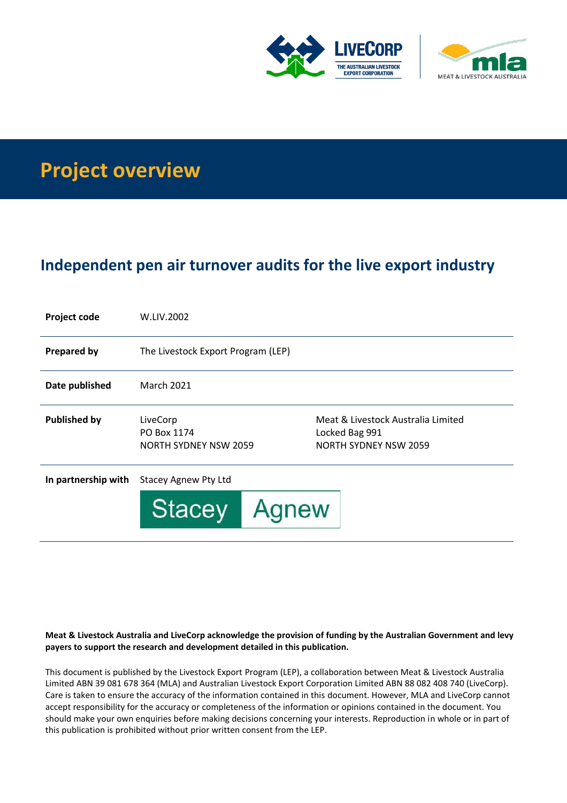



# **Project overview**

## **Independent pen air turnover audits for the live export industry**

| <b>Project code</b> | W.LIV.2002                                              |                                                                               |
|---------------------|---------------------------------------------------------|-------------------------------------------------------------------------------|
| <b>Prepared by</b>  | The Livestock Export Program (LEP)                      |                                                                               |
| Date published      | <b>March 2021</b>                                       |                                                                               |
| <b>Published by</b> | LiveCorp<br>PO Box 1174<br><b>NORTH SYDNEY NSW 2059</b> | Meat & Livestock Australia Limited<br>Locked Bag 991<br>NORTH SYDNEY NSW 2059 |
| In partnership with | <b>Stacey Agnew Pty Ltd</b>                             |                                                                               |
|                     | <b>Stacey</b><br>Agnew                                  |                                                                               |

#### **Meat & Livestock Australia and LiveCorp acknowledge the provision of funding by the Australian Government and levy payers to support the research and development detailed in this publication.**

This document is published by the Livestock Export Program (LEP), a collaboration between Meat & Livestock Australia Limited ABN 39 081 678 364 (MLA) and Australian Livestock Export Corporation Limited ABN 88 082 408 740 (LiveCorp). Care is taken to ensure the accuracy of the information contained in this document. However, MLA and LiveCorp cannot accept responsibility for the accuracy or completeness of the information or opinions contained in the document. You should make your own enquiries before making decisions concerning your interests. Reproduction in whole or in part of this publication is prohibited without prior written consent from the LEP.